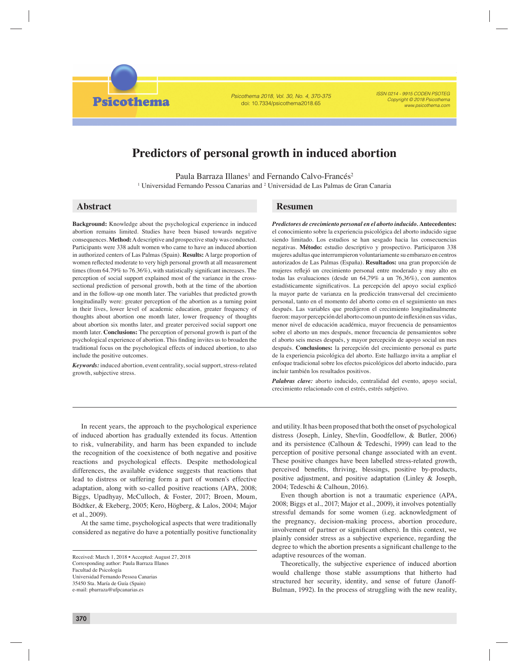Psicothema 2018, Vol. 30, No. 4, 370-375 doi: 10.7334/psicothema2018.65

ISSN 0214 - 9915 CODEN PSOTEG Copyright © 2018 Psicothema www.psicothema.com

# **Predictors of personal growth in induced abortion**

Paula Barraza Illanes<sup>1</sup> and Fernando Calvo-Francés<sup>2</sup> <sup>1</sup> Universidad Fernando Pessoa Canarias and <sup>2</sup> Universidad de Las Palmas de Gran Canaria

**Psicothema** 

**Background:** Knowledge about the psychological experience in induced abortion remains limited. Studies have been biased towards negative consequences. **Method:** A descriptive and prospective study was conducted. Participants were 338 adult women who came to have an induced abortion in authorized centers of Las Palmas (Spain). **Results:** A large proportion of women reflected moderate to very high personal growth at all measurement times (from  $64.79\%$  to  $76.36\%$ ), with statistically significant increases. The perception of social support explained most of the variance in the crosssectional prediction of personal growth, both at the time of the abortion and in the follow-up one month later. The variables that predicted growth longitudinally were: greater perception of the abortion as a turning point in their lives, lower level of academic education, greater frequency of thoughts about abortion one month later, lower frequency of thoughts about abortion six months later, and greater perceived social support one month later. **Conclusions:** The perception of personal growth is part of the psychological experience of abortion. This finding invites us to broaden the traditional focus on the psychological effects of induced abortion, to also include the positive outcomes.

*Keywords:* induced abortion, event centrality, social support, stress-related growth, subjective stress.

# **Abstract Resumen**

*Predictores de crecimiento personal en el aborto inducido.* **Antecedentes:** el conocimiento sobre la experiencia psicológica del aborto inducido sigue siendo limitado. Los estudios se han sesgado hacia las consecuencias negativas. **Método:** estudio descriptivo y prospectivo. Participaron 338 mujeres adultas que interrumpieron voluntariamente su embarazo en centros autorizados de Las Palmas (España). **Resultados:** una gran proporción de mujeres reflejó un crecimiento personal entre moderado y muy alto en todas las evaluaciones (desde un 64,79% a un 76,36%), con aumentos estadísticamente significativos. La percepción del apoyo social explicó la mayor parte de varianza en la predicción transversal del crecimiento personal, tanto en el momento del aborto como en el seguimiento un mes después. Las variables que predijeron el crecimiento longitudinalmente fueron: mayor percepción del aborto como un punto de inflexión en sus vidas, menor nivel de educación académica, mayor frecuencia de pensamientos sobre el aborto un mes después, menor frecuencia de pensamientos sobre el aborto seis meses después, y mayor percepción de apoyo social un mes después. **Conclusiones:** la percepción del crecimiento personal es parte de la experiencia psicológica del aborto. Este hallazgo invita a ampliar el enfoque tradicional sobre los efectos psicológicos del aborto inducido, para incluir también los resultados positivos.

*Palabras clave:* aborto inducido, centralidad del evento, apoyo social, crecimiento relacionado con el estrés, estrés subjetivo.

In recent years, the approach to the psychological experience of induced abortion has gradually extended its focus. Attention to risk, vulnerability, and harm has been expanded to include the recognition of the coexistence of both negative and positive reactions and psychological effects. Despite methodological differences, the available evidence suggests that reactions that lead to distress or suffering form a part of women's effective adaptation, along with so-called positive reactions (APA, 2008; Biggs, Upadhyay, McCulloch, & Foster, 2017; Broen, Moum, Bödtker, & Ekeberg, 2005; Kero, Högberg, & Lalos, 2004; Major et al., 2009).

At the same time, psychological aspects that were traditionally considered as negative do have a potentially positive functionality

and utility. It has been proposed that both the onset of psychological distress (Joseph, Linley, Shevlin, Goodfellow, & Butler, 2006) and its persistence (Calhoun & Tedeschi, 1999) can lead to the perception of positive personal change associated with an event. These positive changes have been labelled stress-related growth, perceived benefits, thriving, blessings, positive by-products, positive adjustment, and positive adaptation (Linley & Joseph, 2004; Tedeschi & Calhoun, 2016).

Even though abortion is not a traumatic experience (APA, 2008; Biggs et al., 2017; Major et al., 2009), it involves potentially stressful demands for some women (i.eg. acknowledgment of the pregnancy, decision-making process, abortion procedure, involvement of partner or significant others). In this context, we plainly consider stress as a subjective experience, regarding the degree to which the abortion presents a significant challenge to the adaptive resources of the woman.

Theoretically, the subjective experience of induced abortion would challenge those stable assumptions that hitherto had structured her security, identity, and sense of future (Janoff-Bulman, 1992). In the process of struggling with the new reality,

Received: March 1, 2018 • Accepted: August 27, 2018 Corresponding author: Paula Barraza Illanes Facultad de Psicología Universidad Fernando Pessoa Canarias 35450 Sta. María de Guía (Spain) e-mail: pbarraza@ufpcanarias.es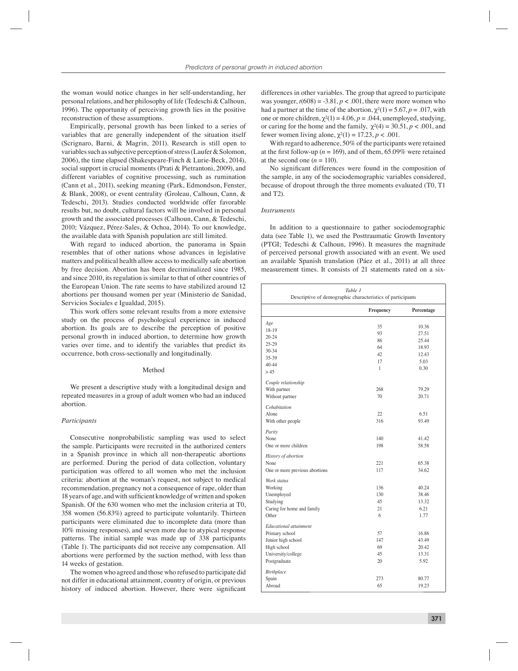the woman would notice changes in her self-understanding, her personal relations, and her philosophy of life (Tedeschi & Calhoun, 1996). The opportunity of perceiving growth lies in the positive reconstruction of these assumptions.

Empirically, personal growth has been linked to a series of variables that are generally independent of the situation itself (Scrignaro, Barni, & Magrin, 2011). Research is still open to variables such as subjective perception of stress (Laufer & Solomon, 2006), the time elapsed (Shakespeare-Finch & Lurie-Beck, 2014), social support in crucial moments (Prati & Pietrantoni, 2009), and different variables of cognitive processing, such as rumination (Cann et al., 2011), seeking meaning (Park, Edmondson, Fenster, & Blank, 2008), or event centrality (Groleau, Calhoun, Cann, & Tedeschi, 2013). Studies conducted worldwide offer favorable results but, no doubt, cultural factors will be involved in personal growth and the associated processes (Calhoun, Cann, & Tedeschi, 2010; Vázquez, Pérez-Sales, & Ochoa, 2014). To our knowledge, the available data with Spanish population are still limited.

With regard to induced abortion, the panorama in Spain resembles that of other nations whose advances in legislative matters and political health allow access to medically safe abortion by free decision. Abortion has been decriminalized since 1985, and since 2010, its regulation is similar to that of other countries of the European Union. The rate seems to have stabilized around 12 abortions per thousand women per year (Ministerio de Sanidad, Servicios Sociales e Igualdad, 2015).

This work offers some relevant results from a more extensive study on the process of psychological experience in induced abortion. Its goals are to describe the perception of positive personal growth in induced abortion, to determine how growth varies over time, and to identify the variables that predict its occurrence, both cross-sectionally and longitudinally.

#### Method

We present a descriptive study with a longitudinal design and repeated measures in a group of adult women who had an induced abortion.

### *Participants*

Consecutive nonprobabilistic sampling was used to select the sample. Participants were recruited in the authorized centers in a Spanish province in which all non-therapeutic abortions are performed. During the period of data collection, voluntary participation was offered to all women who met the inclusion criteria: abortion at the woman's request, not subject to medical recommendation, pregnancy not a consequence of rape, older than 18 years of age, and with sufficient knowledge of written and spoken Spanish. Of the 630 women who met the inclusion criteria at T0, 358 women (56.83%) agreed to participate voluntarily. Thirteen participants were eliminated due to incomplete data (more than 10% missing responses), and seven more due to atypical response patterns. The initial sample was made up of 338 participants (Table 1). The participants did not receive any compensation. All abortions were performed by the suction method, with less than 14 weeks of gestation.

The women who agreed and those who refused to participate did not differ in educational attainment, country of origin, or previous history of induced abortion. However, there were significant

differences in other variables. The group that agreed to participate was younger,  $t(608) = -3.81$ ,  $p < .001$ , there were more women who had a partner at the time of the abortion,  $\chi^2(1) = 5.67$ ,  $p = .017$ , with one or more children,  $\chi^2(1) = 4.06$ ,  $p = .044$ , unemployed, studying, or caring for the home and the family,  $\gamma^2(4) = 30.51$ ,  $p < .001$ , and fewer women living alone,  $\gamma^2(1) = 17.23$ ,  $p < .001$ .

With regard to adherence, 50% of the participants were retained at the first follow-up ( $n = 169$ ), and of them, 65.09% were retained at the second one  $(n = 110)$ .

No significant differences were found in the composition of the sample, in any of the sociodemographic variables considered, because of dropout through the three moments evaluated (T0, T1 and T2).

# *Instruments*

In addition to a questionnaire to gather sociodemographic data (see Table 1), we used the Posttraumatic Growth Inventory (PTGI; Tedeschi & Calhoun, 1996). It measures the magnitude of perceived personal growth associated with an event. We used an available Spanish translation (Páez et al., 2011) at all three measurement times. It consists of 21 statements rated on a six-

| Table 1<br>Descriptive of demographic characteristics of participants                                                      |                             |                                          |  |  |
|----------------------------------------------------------------------------------------------------------------------------|-----------------------------|------------------------------------------|--|--|
|                                                                                                                            | Frequency                   | Percentage                               |  |  |
| Age<br>18-19<br>$20 - 24$<br>25-29                                                                                         | 35<br>93<br>86              | 10.36<br>27.51<br>25.44                  |  |  |
| $30 - 34$<br>35-39<br>40-44<br>> 45                                                                                        | 64<br>42<br>17<br>1         | 18.93<br>12.43<br>5.03<br>0.30           |  |  |
| Couple relationship<br>With partner<br>Without partner                                                                     | 268<br>70                   | 79.29<br>20.71                           |  |  |
| Cohabitation<br>Alone<br>With other people                                                                                 | 22<br>316                   | 6.51<br>93.49                            |  |  |
| Parity<br>None<br>One or more children                                                                                     | 140<br>198                  | 41.42<br>58.58                           |  |  |
| History of abortion<br>None<br>One or more previous abortions                                                              | 221<br>117                  | 65.38<br>34.62                           |  |  |
| Work status<br>Working<br>Unemployed<br>Studying<br>Caring for home and family<br>Other                                    | 136<br>130<br>45<br>21<br>6 | 40.24<br>38.46<br>13.32<br>6.21<br>1.77  |  |  |
| <b>Educational attainment</b><br>Primary school<br>Junior high school<br>High school<br>University/college<br>Postgraduate | 57<br>147<br>69<br>45<br>20 | 16.86<br>43.49<br>20.42<br>13.31<br>5.92 |  |  |
| <b>Birthplace</b><br>Spain<br>Abroad                                                                                       | 273<br>65                   | 80.77<br>19.23                           |  |  |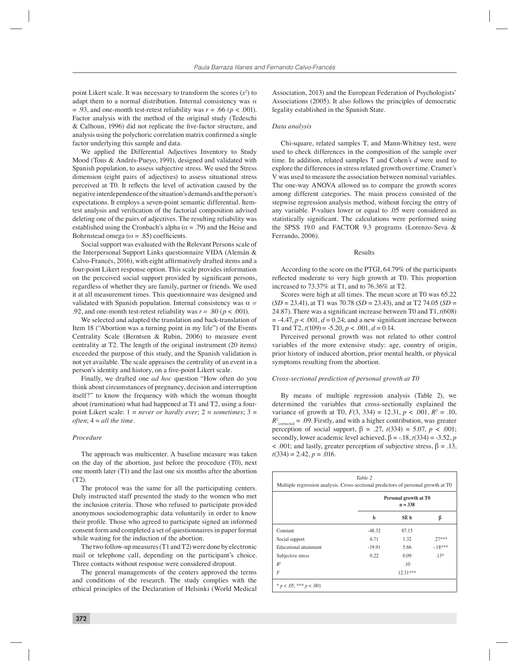point Likert scale. It was necessary to transform the scores  $(x^2)$  to adapt them to a normal distribution. Internal consistency was *α*  $= .93$ , and one-month test-retest reliability was  $r = .66$  ( $p < .001$ ). Factor analysis with the method of the original study (Tedeschi  $& Calhoun, 1996)$  did not replicate the five-factor structure, and analysis using the polychoric correlation matrix confirmed a single factor underlying this sample and data.

We applied the Differential Adjectives Inventory to Study Mood (Tous & Andrés-Pueyo, 1991), designed and validated with Spanish population, to assess subjective stress. We used the Stress dimension (eight pairs of adjectives) to assess situational stress perceived at T0. It reflects the level of activation caused by the negative interdependence of the situation's demands and the person's expectations. It employs a seven-point semantic differential. Itemtest analysis and verification of the factorial composition advised deleting one of the pairs of adjectives. The resulting reliability was established using the Cronbach's alpha ( $\alpha$  = .79) and the Heise and Bohrnstead omega ( $\omega = .85$ ) coefficients.

Social support was evaluated with the Relevant Persons scale of the Interpersonal Support Links questionnaire VIDA (Alemán & Calvo-Francés, 2016), with eight affirmatively drafted items and a four-point Likert response option. This scale provides information on the perceived social support provided by significant persons, regardless of whether they are family, partner or friends. We used it at all measurement times. This questionnaire was designed and validated with Spanish population. Internal consistency was  $\alpha$  = .92, and one-month test-retest reliability was  $r = .80$  ( $p < .001$ ).

We selected and adapted the translation and back-translation of Item 18 ("Abortion was a turning point in my life") of the Events Centrality Scale (Berntsen & Rubin, 2006) to measure event centrality at T2. The length of the original instrument (20 items) exceeded the purpose of this study, and the Spanish validation is not yet available. The scale appraises the centrality of an event in a person's identity and history, on a five-point Likert scale.

Finally, we drafted one *ad hoc* question "How often do you think about circumstances of pregnancy, decision and interruption itself?" to know the frequency with which the woman thought about (rumination) what had happened at T1 and T2, using a fourpoint Likert scale: 1 = *never or hardly ever*; 2 = *sometimes*; 3 = *often*; 4 = *all the time*.

## *Procedure*

The approach was multicenter. A baseline measure was taken on the day of the abortion, just before the procedure (T0), next one month later (T1) and the last one six months after the abortion (T2).

The protocol was the same for all the participating centers. Duly instructed staff presented the study to the women who met the inclusion criteria. Those who refused to participate provided anonymous sociodemographic data voluntarily in order to know their profile. Those who agreed to participate signed an informed consent form and completed a set of questionnaires in paper format while waiting for the induction of the abortion.

The two follow-up measures (T1 and T2) were done by electronic mail or telephone call, depending on the participant's choice. Three contacts without response were considered dropout.

The general managements of the centers approved the terms and conditions of the research. The study complies with the ethical principles of the Declaration of Helsinki (World Medical Association, 2013) and the European Federation of Psychologists' Associations (2005). It also follows the principles of democratic legality established in the Spanish State.

#### *Data analysis*

Chi-square, related samples T, and Mann-Whitney test, were used to check differences in the composition of the sample over time. In addition, related samples T and Cohen´s *d* were used to explore the differences in stress related growth over time. Cramer´s V was used to measure the association between nominal variables. The one-way ANOVA allowed us to compare the growth scores among different categories. The main process consisted of the stepwise regression analysis method, without forcing the entry of any variable. P-values lower or equal to .05 were considered as statistically significant. The calculations were performed using the SPSS 19.0 and FACTOR 9.3 programs (Lorenzo-Seva & Ferrando, 2006).

#### Results

According to the score on the PTGI, 64.79% of the participants reflected moderate to very high growth at T0. This proportion increased to 73.37% at T1, and to 76.36% at T2.

Scores were high at all times. The mean score at T0 was 65.22 (*SD* = 23.41), at T1 was 70.78 (*SD* = 23.43), and at T2 74.05 (*SD* = 24.87). There was a significant increase between T0 and T1,  $t(608)$  $= -4.47, p < .001, d = 0.24$ ; and a new significant increase between T1 and T2,  $t(109) = -5.20$ ,  $p < .001$ ,  $d = 0.14$ .

Perceived personal growth was not related to other control variables of the more extensive study: age, country of origin, prior history of induced abortion, prior mental health, or physical symptoms resulting from the abortion.

### *Cross-sectional prediction of personal growth at T0*

By means of multiple regression analysis (Table 2), we determined the variables that cross-sectionally explained the variance of growth at T0,  $F(3, 334) = 12.31, p < .001, R^2 = .10,$  $R^2$ <sub>corrected</sub> = .09. Firstly, and with a higher contribution, was greater perception of social support,  $β = .27, t(334) = 5.07, p < .001;$ secondly, lower academic level achieved,  $\beta = -18$ ,  $t(334) = -3.52$ , *p*  $\lt$  .001; and lastly, greater perception of subjective stress,  $\beta = .13$ ,  $t(334) = 2.42, p = .016.$ 

|                        | Personal growth at T0<br>$n = 338$ |            |           |
|------------------------|------------------------------------|------------|-----------|
|                        | ь                                  | SE b       | β         |
| Constant               | $-48.32$                           | 87.15      |           |
| Social support         | 6.71                               | 1.32       | $27***$   |
| Educational attainment | $-19.91$                           | 5.66       | $-.18***$ |
| Subjective stress      | 0.22                               | 0.09       | $.13*$    |
| R <sup>2</sup>         |                                    | .10        |           |
| F                      |                                    | $12.31***$ |           |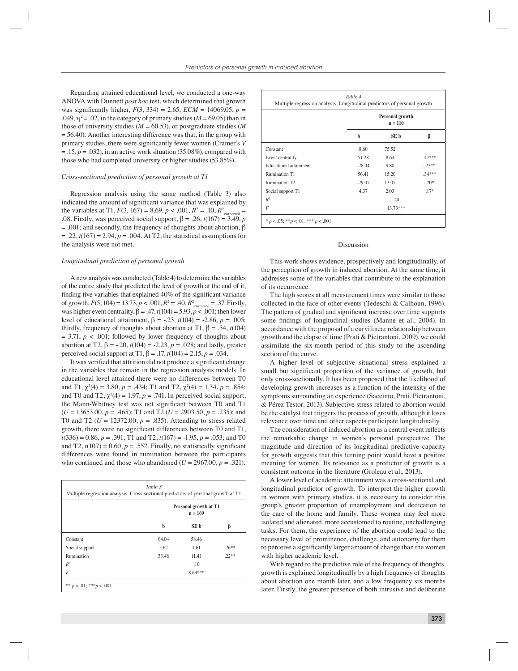Regarding attained educational level, we conducted a one-way ANOVA with Dunnett *post hoc* test, which determined that growth was significantly higher,  $F(3, 334) = 2.65$ ,  $ECM = 14069.05$ ,  $p =$ .049,  $\eta^2$  = .02, in the category of primary studies ( $M$  = 69.05) than in those of university studies ( $M = 60.53$ ), or postgraduate studies (M)  $= 56.40$ ). Another interesting difference was that, in the group with primary studies, there were significantly fewer women (Cramer's *V*  $= .15, p = .032$ ), in an active work situation (35.08%), compared with those who had completed university or higher studies (53.85%).

#### *Cross-sectional prediction of personal growth at T1*

Regression analysis using the same method (Table 3) also indicated the amount of significant variance that was explained by the variables at T1,  $F(3, 167) = 8.69, p < .001, R^2 = .10, R^2$ <sub>corrected</sub> = .08. Firstly, was perceived social support,  $\beta = .26$ ,  $t(167) = 3.49$ , *p*  $= .001$ ; and secondly, the frequency of thoughts about abortion,  $\beta$  $= .22, t(167) = 2.94, p = .004$ . At T2, the statistical assumptions for the analysis were not met.

#### *Longitudinal prediction of personal growth*

A new analysis was conducted (Table 4) to determine the variables of the entire study that predicted the level of growth at the end of it, finding five variables that explained  $40\%$  of the significant variance of growth,  $F(5, 104) = 13.73$ ,  $p < .001$ ,  $R^2 = .40$ ,  $R^2_{\text{corrected}} = .37$ . Firstly, was higher event centrality,  $\beta = .47$ ,  $t(104) = 5.93$ ,  $p < .001$ ; then lower level of educational attainment,  $β = -.23$ ,  $t(104) = -2.86$ ,  $p = .005$ ; thirdly, frequency of thoughts about abortion at T1,  $β = .34, t(104)$  $= 3.71, p < .001$ ; followed by lower frequency of thoughts about abortion at T2,  $\beta = -2.20$ ,  $t(104) = -2.23$ ,  $p = .028$ ; and lastly, greater perceived social support at T1,  $β = .17, t(104) = 2.15, p = .034$ .

It was verified that attrition did not produce a significant change in the variables that remain in the regression analysis models. In educational level attained there were no differences between T0 and T1,  $\chi^2(4) = 3.80$ ,  $p = .434$ ; T1 and T2,  $\chi^2(4) = 1.34$ ,  $p = .854$ ; and T0 and T2,  $\chi^2(4) = 1.97$ ,  $p = .741$ . In perceived social support, the Mann-Whitney test was not significant between T0 and T1 (*U* = 13653.00, *p* = .465); T1 and T2 (*U* = 2903.50, *p* = .235); and T0 and T2 ( $U = 12372.00$ ,  $p = .835$ ). Attending to stress related growth, there were no significant differences between T0 and T1, *t*(336) = 0.86, *p* = .391; T1 and T2, *t*(167) = -1.95, *p* = .053; and T0 and T2,  $t(107) = 0.60$ ,  $p = .552$ . Finally, no statistically significant differences were found in rumination between the participants who continued and those who abandoned  $(U = 2967.00, p = .321)$ .

| Multiple regression analysis. Cross-sectional predictors of personal growth at T1 |       |                                    |          |  |
|-----------------------------------------------------------------------------------|-------|------------------------------------|----------|--|
|                                                                                   |       | Personal growth at T1<br>$n = 169$ |          |  |
|                                                                                   | b     | SE b                               | β        |  |
| Constant                                                                          | 64.04 | 58.46                              |          |  |
| Social support                                                                    | 5.62  | 1.61                               | $.26***$ |  |
| Rumination                                                                        | 33.48 | 11.41                              | $22**$   |  |
| $R^2$                                                                             |       | .10                                |          |  |
| F                                                                                 |       | 8.69***                            |          |  |

| Table 4<br>Multiple regression analysis. Longitudinal predictors of personal growth |                              |            |          |  |
|-------------------------------------------------------------------------------------|------------------------------|------------|----------|--|
|                                                                                     | Personal growth<br>$n = 110$ |            |          |  |
|                                                                                     | b                            | SE b       | β        |  |
| Constant                                                                            | 8.60                         | 75.52      |          |  |
| Event centrality                                                                    | 51.28                        | 8.64       | $.47***$ |  |
| Educational attainment                                                              | $-28.04$                     | 9.80       | $-23**$  |  |
| Rumination T1                                                                       | 56.41                        | 15.20      | $34***$  |  |
| Rumination T2                                                                       | $-29.07$                     | 13.07      | $-.20*$  |  |
| Social support T1                                                                   | 4.37                         | 2.03       | $.17*$   |  |
| $R^2$                                                                               |                              | .40        |          |  |
| F                                                                                   |                              | $13.73***$ |          |  |
| * $p < .05$ ; ** $p < .01$ . *** $p < .001$                                         |                              |            |          |  |

#### Discussion

This work shows evidence, prospectively and longitudinally, of the perception of growth in induced abortion. At the same time, it addresses some of the variables that contribute to the explanation of its occurrence.

The high scores at all measurement times were similar to those collected in the face of other events (Tedeschi & Calhoun, 1996). The pattern of gradual and significant increase over time supports some findings of longitudinal studies (Manne et al., 2004). In accordance with the proposal of a curvilinear relationship between growth and the elapse of time (Prati & Pietrantoni, 2009), we could assimilate the six-month period of this study to the ascending section of the curve.

A higher level of subjective situational stress explained a small but significant proportion of the variance of growth, but only cross-sectionally. It has been proposed that the likelihood of developing growth increases as a function of the intensity of the symptoms surrounding an experience (Saccinto, Prati, Pietrantoni, & Pérez-Testor, 2013). Subjective stress related to abortion would be the catalyst that triggers the process of growth, although it loses relevance over time and other aspects participate longitudinally.

The consideration of induced abortion as a central event reflects the remarkable change in women's personal perspective. The magnitude and direction of its longitudinal predictive capacity for growth suggests that this turning point would have a positive meaning for women. Its relevance as a predictor of growth is a consistent outcome in the literature (Groleau et al., 2013).

A lower level of academic attainment was a cross-sectional and longitudinal predictor of growth. To interpret the higher growth in women with primary studies, it is necessary to consider this group's greater proportion of unemployment and dedication to the care of the home and family. These women may feel more isolated and alienated, more accustomed to routine, unchallenging tasks. For them, the experience of the abortion could lead to the necessary level of prominence, challenge, and autonomy for them to perceive a significantly larger amount of change than the women with higher academic level.

With regard to the predictive role of the frequency of thoughts, growth is explained longitudinally by a high frequency of thoughts about abortion one month later, and a low frequency six months later. Firstly, the greater presence of both intrusive and deliberate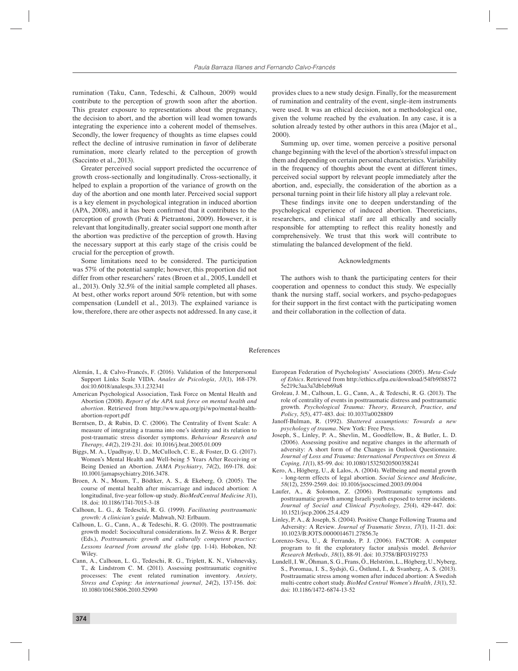rumination (Taku, Cann, Tedeschi, & Calhoun, 2009) would contribute to the perception of growth soon after the abortion. This greater exposure to representations about the pregnancy, the decision to abort, and the abortion will lead women towards integrating the experience into a coherent model of themselves. Secondly, the lower frequency of thoughts as time elapses could reflect the decline of intrusive rumination in favor of deliberate rumination, more clearly related to the perception of growth (Saccinto et al., 2013).

Greater perceived social support predicted the occurrence of growth cross-sectionally and longitudinally. Cross-sectionally, it helped to explain a proportion of the variance of growth on the day of the abortion and one month later. Perceived social support is a key element in psychological integration in induced abortion  $(APA, 2008)$ , and it has been confirmed that it contributes to the perception of growth (Prati & Pietrantoni, 2009). However, it is relevant that longitudinally, greater social support one month after the abortion was predictive of the perception of growth. Having the necessary support at this early stage of the crisis could be crucial for the perception of growth.

Some limitations need to be considered. The participation was 57% of the potential sample; however, this proportion did not differ from other researchers' rates (Broen et al., 2005, Lundell et al., 2013). Only 32.5% of the initial sample completed all phases. At best, other works report around 50% retention, but with some compensation (Lundell et al., 2013). The explained variance is low, therefore, there are other aspects not addressed. In any case, it

provides clues to a new study design. Finally, for the measurement of rumination and centrality of the event, single-item instruments were used. It was an ethical decision, not a methodological one, given the volume reached by the evaluation. In any case, it is a solution already tested by other authors in this area (Major et al., 2000).

Summing up, over time, women perceive a positive personal change beginning with the level of the abortion's stressful impact on them and depending on certain personal characteristics. Variability in the frequency of thoughts about the event at different times, perceived social support by relevant people immediately after the abortion, and, especially, the consideration of the abortion as a personal turning point in their life history all play a relevant role.

These findings invite one to deepen understanding of the psychological experience of induced abortion. Theoreticians, researchers, and clinical staff are all ethically and socially responsible for attempting to reflect this reality honestly and comprehensively. We trust that this work will contribute to stimulating the balanced development of the field.

#### Acknowledgments

The authors wish to thank the participating centers for their cooperation and openness to conduct this study. We especially thank the nursing staff, social workers, and psycho-pedagogues for their support in the first contact with the participating women and their collaboration in the collection of data.

### References

- Alemán, I., & Calvo-Francés, F. (2016). Validation of the Interpersonal Support Links Scale VIDA. *Anales de Psicología, 33*(1), 168-179. doi:10.6018/analesps.33.1.232341
- American Psychological Association, Task Force on Mental Health and Abortion (2008). *Report of the APA task force on mental health and abortion.* Retrieved from http://www.apa.org/pi/wpo/mental-healthabortion-report.pdf
- Berntsen, D., & Rubin, D. C. (2006). The Centrality of Event Scale: A measure of integrating a trauma into one's identity and its relation to post-traumatic stress disorder symptoms. *Behaviour Research and Therapy, 44*(2), 219-231. doi: 10.1016/j.brat.2005.01.009
- Biggs, M. A., Upadhyay, U. D., McCulloch, C. E., & Foster, D. G. (2017). Women's Mental Health and Well-being 5 Years After Receiving or Being Denied an Abortion. *JAMA Psychiatry, 74*(2), 169-178. doi: 10.1001/jamapsychiatry.2016.3478.
- Broen, A. N., Moum, T., Bödtker, A. S., & Ekeberg, Ö. (2005). The course of mental health after miscarriage and induced abortion: A longitudinal, five-year follow-up study. *BioMedCentral Medicine 3*(1), 18. doi: 10.1186/1741-7015-3-18
- Calhoun, L. G., & Tedeschi, R. G. (1999). *Facilitating posttraumatic growth: A clinician's guide*. Mahwah, NJ: Erlbaum.
- Calhoun, L. G., Cann, A., & Tedeschi, R. G. (2010). The posttraumatic growth model: Sociocultural considerations. In Z. Weiss & R. Berger (Eds.), *Posttraumatic growth and culturally competent practice: Lessons learned from around the globe* (pp. 1-14). Hoboken, NJ: Wiley.
- Cann, A., Calhoun, L. G., Tedeschi, R. G., Triplett, K. N., Vishnevsky, T., & Lindstrom C. M. (2011). Assessing posttraumatic cognitive processes: The event related rumination inventory. *Anxiety, Stress and Coping: An international journal, 24*(2), 137-156. doi: 10.1080/10615806.2010.52990
- European Federation of Psychologists' Associations (2005). *Meta-Code of Ethics*. Retrieved from http://ethics.efpa.eu/download/54fb9f88572 5e219c3aa3a7db1eb69a8
- Groleau, J. M., Calhoun, L. G., Cann, A., & Tedeschi, R. G. (2013). The role of centrality of events in posttraumatic distress and posttraumatic growth. *Psychological Trauma: Theory, Research, Practice, and Policy, 5*(5), 477-483. doi: 10.1037/a0028809
- Janoff-Bulman, R. (1992). *Shattered assumptions: Towards a new psychology of trauma.* New York: Free Press.
- Joseph, S., Linley, P. A., Shevlin, M., Goodfellow, B., & Butler, L. D. (2006). Assessing positive and negative changes in the aftermath of adversity: A short form of the Changes in Outlook Questionnaire. *Journal of Loss and Trauma: International Perspectives on Stress & Coping, 11*(1), 85-99. doi: 10.1080/15325020500358241
- Kero, A., Högberg, U., & Lalos, A. (2004). Wellbeing and mental growth - long-term effects of legal abortion. *Social Science and Medicine, 58*(12), 2559-2569. doi: 10.1016/jsocscimed.2003.09.004
- Laufer, A., & Solomon, Z. (2006). Posttraumatic symptoms and posttraumatic growth among Israeli youth exposed to terror incidents*. Journal of Social and Clinical Psychology, 25*(4), 429-447. doi: 10.1521/jscp.2006.25.4.429
- Linley, P. A., & Joseph, S. (2004). Positive Change Following Trauma and Adversity: A Review. *Journal of Traumatic Stress, 17*(1)*,* 11-21. doi: 10.1023/B:JOTS.0000014671.27856.7e
- Lorenzo-Seva, U., & Ferrando, P. J. (2006). FACTOR: A computer program to fit the exploratory factor analysis model. *Behavior Research Methods, 38*(1), 88-91. doi: 10.3758/BF03192753
- Lundell, I. W., Öhman, S. G., Frans, Ö., Helström, L., Högberg, U., Nyberg, S., Poromaa, I. S., Sydsjö, G., Östlund, I., & Svanberg, A. S. (2013). Posttraumatic stress among women after induced abortion: A Swedish multi-centre cohort study. *BioMed Central Women's Health, 13*(1), 52. doi: 10.1186/1472-6874-13-52